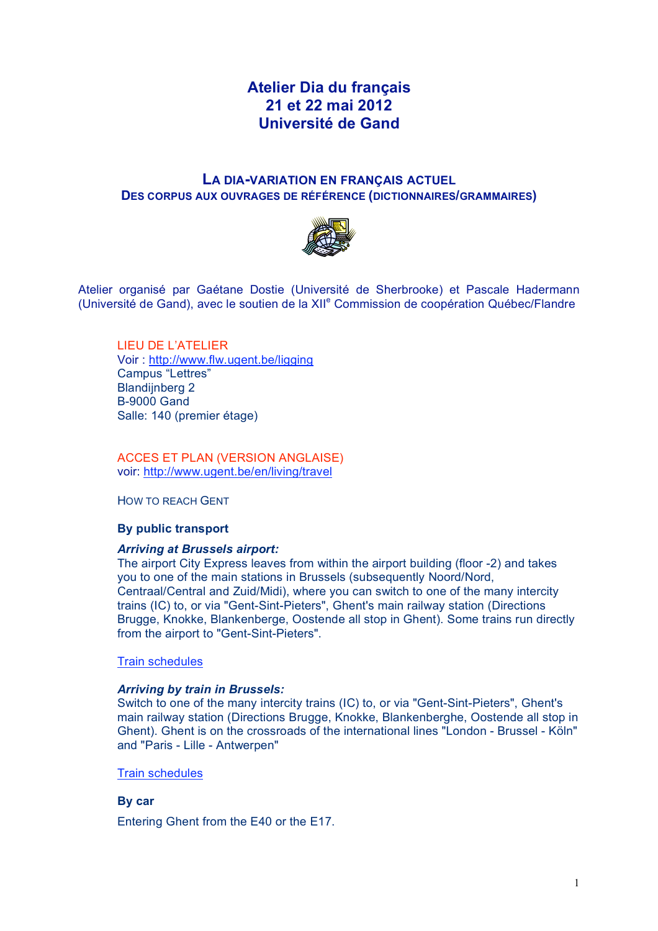# **Atelier Dia du français 21 et 22 mai 2012 Université de Gand**

# **LA DIA-VARIATION EN FRANÇAIS ACTUEL DES CORPUS AUX OUVRAGES DE RÉFÉRENCE (DICTIONNAIRES/GRAMMAIRES)**



Atelier organisé par Gaétane Dostie (Université de Sherbrooke) et Pascale Hadermann (Université de Gand), avec le soutien de la XII<sup>e</sup> Commission de coopération Québec/Flandre

LIEU DE L'ATELIER Voir : http://www.flw.ugent.be/ligging Campus "Lettres" Blandiinberg 2 B-9000 Gand Salle: 140 (premier étage)

ACCES ET PLAN (VERSION ANGLAISE) voir: http://www.ugent.be/en/living/travel

HOW TO REACH GENT

# **By public transport**

### *Arriving at Brussels airport:*

The airport City Express leaves from within the airport building (floor -2) and takes you to one of the main stations in Brussels (subsequently Noord/Nord, Centraal/Central and Zuid/Midi), where you can switch to one of the many intercity trains (IC) to, or via "Gent-Sint-Pieters", Ghent's main railway station (Directions Brugge, Knokke, Blankenberge, Oostende all stop in Ghent). Some trains run directly from the airport to "Gent-Sint-Pieters".

#### Train schedules

### *Arriving by train in Brussels:*

Switch to one of the many intercity trains (IC) to, or via "Gent-Sint-Pieters", Ghent's main railway station (Directions Brugge, Knokke, Blankenberghe, Oostende all stop in Ghent). Ghent is on the crossroads of the international lines "London - Brussel - Köln" and "Paris - Lille - Antwerpen"

#### Train schedules

# **By car**

Entering Ghent from the E40 or the E17.